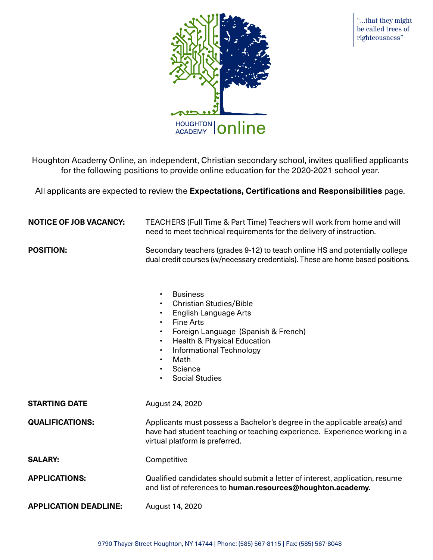

"...that they might be called trees of righteousness"

Houghton Academy Online, an independent, Christian secondary school, invites qualified applicants for the following positions to provide online education for the 2020-2021 school year.

All applicants are expected to review the **Expectations, Certifications and Responsibilities** page.

| <b>NOTICE OF JOB VACANCY:</b> | TEACHERS (Full Time & Part Time) Teachers will work from home and will<br>need to meet technical requirements for the delivery of instruction.                                                                                                                                                                                                                         |  |  |
|-------------------------------|------------------------------------------------------------------------------------------------------------------------------------------------------------------------------------------------------------------------------------------------------------------------------------------------------------------------------------------------------------------------|--|--|
| <b>POSITION:</b>              | Secondary teachers (grades 9-12) to teach online HS and potentially college<br>dual credit courses (w/necessary credentials). These are home based positions.                                                                                                                                                                                                          |  |  |
|                               | <b>Business</b><br>$\bullet$<br><b>Christian Studies/Bible</b><br>$\bullet$<br><b>English Language Arts</b><br><b>Fine Arts</b><br>$\bullet$<br>Foreign Language (Spanish & French)<br>$\bullet$<br><b>Health &amp; Physical Education</b><br>$\bullet$<br>Informational Technology<br>$\bullet$<br>Math<br>$\bullet$<br>Science<br>$\bullet$<br><b>Social Studies</b> |  |  |
| <b>STARTING DATE</b>          | August 24, 2020                                                                                                                                                                                                                                                                                                                                                        |  |  |
| <b>QUALIFICATIONS:</b>        | Applicants must possess a Bachelor's degree in the applicable area(s) and<br>have had student teaching or teaching experience. Experience working in a<br>virtual platform is preferred.                                                                                                                                                                               |  |  |
| <b>SALARY:</b>                | Competitive                                                                                                                                                                                                                                                                                                                                                            |  |  |
| <b>APPLICATIONS:</b>          | Qualified candidates should submit a letter of interest, application, resume<br>and list of references to human.resources@houghton.academy.                                                                                                                                                                                                                            |  |  |
| <b>APPLICATION DEADLINE:</b>  | August 14, 2020                                                                                                                                                                                                                                                                                                                                                        |  |  |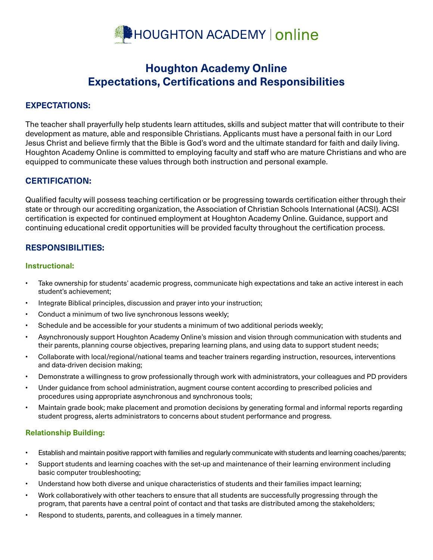

# **Houghton Academy Online Expectations, Certifications and Responsibilities**

# **EXPECTATIONS:**

The teacher shall prayerfully help students learn attitudes, skills and subject matter that will contribute to their development as mature, able and responsible Christians. Applicants must have a personal faith in our Lord Jesus Christ and believe firmly that the Bible is God's word and the ultimate standard for faith and daily living. Houghton Academy Online is committed to employing faculty and staff who are mature Christians and who are equipped to communicate these values through both instruction and personal example.

# **CERTIFICATION:**

Qualified faculty will possess teaching certification or be progressing towards certification either through their state or through our accrediting organization, the Association of Christian Schools International (ACSI). ACSI certification is expected for continued employment at Houghton Academy Online. Guidance, support and continuing educational credit opportunities will be provided faculty throughout the certification process.

# **RESPONSIBILITIES:**

## **Instructional:**

- Take ownership for students' academic progress, communicate high expectations and take an active interest in each student's achievement;
- Integrate Biblical principles, discussion and prayer into your instruction;
- Conduct a minimum of two live synchronous lessons weekly;
- Schedule and be accessible for your students a minimum of two additional periods weekly;
- Asynchronously support Houghton Academy Online's mission and vision through communication with students and their parents, planning course objectives, preparing learning plans, and using data to support student needs;
- Collaborate with local/regional/national teams and teacher trainers regarding instruction, resources, interventions and data-driven decision making;
- Demonstrate a willingness to grow professionally through work with administrators, your colleagues and PD providers
- Under guidance from school administration, augment course content according to prescribed policies and procedures using appropriate asynchronous and synchronous tools;
- Maintain grade book; make placement and promotion decisions by generating formal and informal reports regarding student progress, alerts administrators to concerns about student performance and progress.

## **Relationship Building:**

- Establish and maintain positive rapport with families and regularly communicate with students and learning coaches/parents;
- Support students and learning coaches with the set-up and maintenance of their learning environment including basic computer troubleshooting;
- Understand how both diverse and unique characteristics of students and their families impact learning;
- Work collaboratively with other teachers to ensure that all students are successfully progressing through the program, that parents have a central point of contact and that tasks are distributed among the stakeholders;
- Respond to students, parents, and colleagues in a timely manner.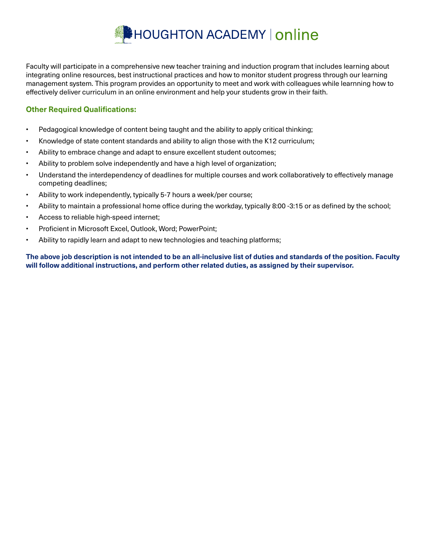

Faculty will participate in a comprehensive new teacher training and induction program that includes learning about integrating online resources, best instructional practices and how to monitor student progress through our learning management system. This program provides an opportunity to meet and work with colleagues while learnning how to effectively deliver curriculum in an online environment and help your students grow in their faith.

## **Other Required Qualifications:**

- Pedagogical knowledge of content being taught and the ability to apply critical thinking;
- Knowledge of state content standards and ability to align those with the K12 curriculum;
- Ability to embrace change and adapt to ensure excellent student outcomes;
- Ability to problem solve independently and have a high level of organization;
- Understand the interdependency of deadlines for multiple courses and work collaboratively to effectively manage competing deadlines;
- Ability to work independently, typically 5-7 hours a week/per course;
- Ability to maintain a professional home office during the workday, typically 8:00 -3:15 or as defined by the school;
- Access to reliable high-speed internet;
- Proficient in Microsoft Excel, Outlook, Word; PowerPoint;
- Ability to rapidly learn and adapt to new technologies and teaching platforms;

**The above job description is not intended to be an all-inclusive list of duties and standards of the position. Faculty will follow additional instructions, and perform other related duties, as assigned by their supervisor.**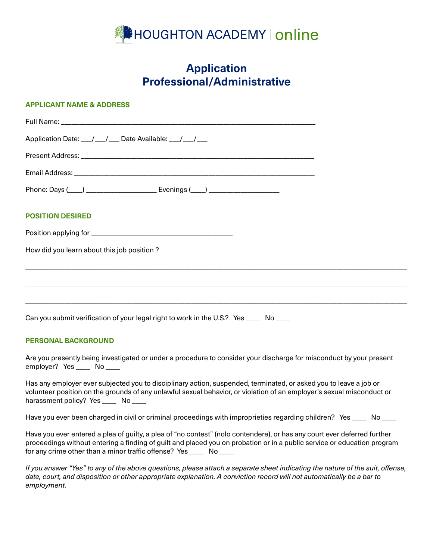

# **Application Professional/Administrative**

#### **APPLICANT NAME & ADDRESS**

| Application Date: __/__/__ Date Available: __/__/__ |  |
|-----------------------------------------------------|--|
|                                                     |  |
|                                                     |  |
|                                                     |  |
| <b>POSITION DESIRED</b>                             |  |
|                                                     |  |
| How did you learn about this job position?          |  |
|                                                     |  |
|                                                     |  |
|                                                     |  |

Can you submit verification of your legal right to work in the U.S.? Yes \_\_\_\_ No \_\_\_\_

#### **PERSONAL BACKGROUND**

Are you presently being investigated or under a procedure to consider your discharge for misconduct by your present employer? Yes \_\_\_\_\_ No \_\_\_\_

Has any employer ever subjected you to disciplinary action, suspended, terminated, or asked you to leave a job or volunteer position on the grounds of any unlawful sexual behavior, or violation of an employer's sexual misconduct or harassment policy? Yes \_\_\_\_\_ No \_\_\_\_

Have you ever been charged in civil or criminal proceedings with improprieties regarding children? Yes \_\_\_\_ No \_\_\_\_

Have you ever entered a plea of guilty, a plea of "no contest" (nolo contendere), or has any court ever deferred further proceedings without entering a finding of guilt and placed you on probation or in a public service or education program for any crime other than a minor traffic offense? Yes \_\_\_\_ No \_\_\_\_

*If you answer "Yes" to any of the above questions, please attach a separate sheet indicating the nature of the suit, offense, date, court, and disposition or other appropriate explanation. A conviction record will not automatically be a bar to employment.*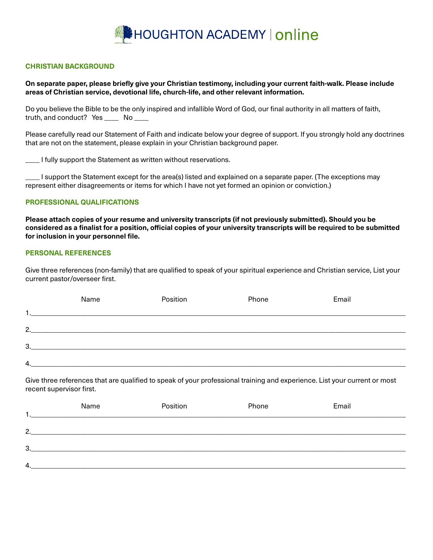

#### **CHRISTIAN BACKGROUND**

**On separate paper, please briefly give your Christian testimony, including your current faith-walk. Please include areas of Christian service, devotional life, church-life, and other relevant information.**

Do you believe the Bible to be the only inspired and infallible Word of God, our final authority in all matters of faith, truth, and conduct? Yes \_\_\_\_ No \_\_\_\_

Please carefully read our Statement of Faith and indicate below your degree of support. If you strongly hold any doctrines that are not on the statement, please explain in your Christian background paper.

\_\_\_\_ I fully support the Statement as written without reservations.

\_\_\_\_ I support the Statement except for the area(s) listed and explained on a separate paper. (The exceptions may represent either disagreements or items for which I have not yet formed an opinion or conviction.)

#### **PROFESSIONAL QUALIFICATIONS**

**Please attach copies of your resume and university transcripts (if not previously submitted). Should you be considered as a finalist for a position, official copies of your university transcripts will be required to be submitted for inclusion in your personnel file.**

#### **PERSONAL REFERENCES**

Give three references (non-family) that are qualified to speak of your spiritual experience and Christian service, List your current pastor/overseer first.

|    | Name | Position | Phone | Email |
|----|------|----------|-------|-------|
|    |      |          |       |       |
| 2. |      |          |       |       |
| 3. |      |          |       |       |
| 4. |      |          |       |       |

Give three references that are qualified to speak of your professional training and experience. List your current or most recent supervisor first.

|    | Name | Position | Phone | Email |
|----|------|----------|-------|-------|
| 2. |      |          |       |       |
| 3. |      |          |       |       |
|    |      |          |       |       |
| 4. |      |          |       |       |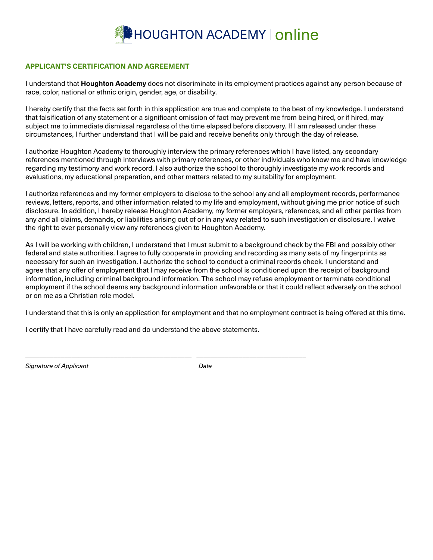

## **APPLICANT'S CERTIFICATION AND AGREEMENT**

I understand that **Houghton Academy** does not discriminate in its employment practices against any person because of race, color, national or ethnic origin, gender, age, or disability.

I hereby certify that the facts set forth in this application are true and complete to the best of my knowledge. I understand that falsification of any statement or a significant omission of fact may prevent me from being hired, or if hired, may subject me to immediate dismissal regardless of the time elapsed before discovery. If I am released under these circumstances, I further understand that I will be paid and receive benefits only through the day of release.

I authorize Houghton Academy to thoroughly interview the primary references which I have listed, any secondary references mentioned through interviews with primary references, or other individuals who know me and have knowledge regarding my testimony and work record. I also authorize the school to thoroughly investigate my work records and evaluations, my educational preparation, and other matters related to my suitability for employment.

I authorize references and my former employers to disclose to the school any and all employment records, performance reviews, letters, reports, and other information related to my life and employment, without giving me prior notice of such disclosure. In addition, I hereby release Houghton Academy, my former employers, references, and all other parties from any and all claims, demands, or liabilities arising out of or in any way related to such investigation or disclosure. I waive the right to ever personally view any references given to Houghton Academy.

As I will be working with children, I understand that I must submit to a background check by the FBI and possibly other federal and state authorities. I agree to fully cooperate in providing and recording as many sets of my fingerprints as necessary for such an investigation. I authorize the school to conduct a criminal records check. I understand and agree that any offer of employment that I may receive from the school is conditioned upon the receipt of background information, including criminal background information. The school may refuse employment or terminate conditional employment if the school deems any background information unfavorable or that it could reflect adversely on the school or on me as a Christian role model.

I understand that this is only an application for employment and that no employment contract is being offered at this time.

I certify that I have carefully read and do understand the above statements.

\_\_\_\_\_\_\_\_\_\_\_\_\_\_\_\_\_\_\_\_\_\_\_\_\_\_\_\_\_\_\_\_\_\_\_\_\_\_\_\_\_\_\_\_\_\_\_ \_\_\_\_\_\_\_\_\_\_\_\_\_\_\_\_\_\_\_\_\_\_\_\_\_\_\_\_\_\_\_

*Signature of Applicant Date*